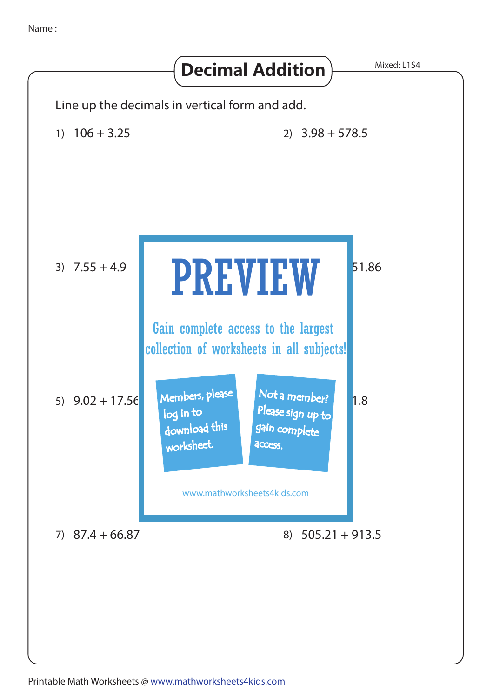